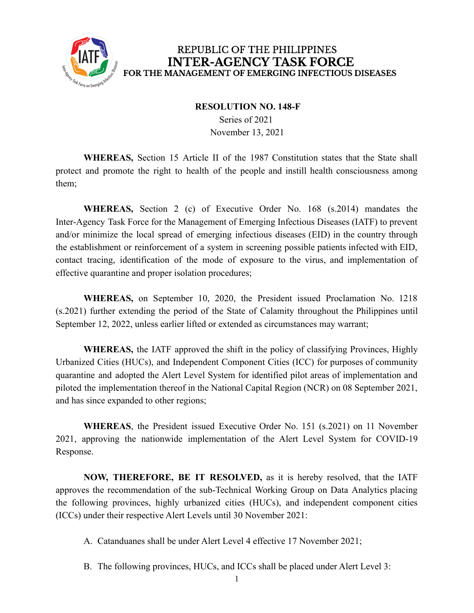

## REPUBLIC OF THE PHILIPPINES **INTER-AGENCY TASK FORCE** FOR THE MANAGEMENT OF EMERGING INFECTIOUS DISEASES

#### **RESOLUTION NO. 148-F**

Series of 2021 November 13, 2021

**WHEREAS,** Section 15 Article II of the 1987 Constitution states that the State shall protect and promote the right to health of the people and instill health consciousness among them;

**WHEREAS,** Section 2 (c) of Executive Order No. 168 (s.2014) mandates the Inter-Agency Task Force for the Management of Emerging Infectious Diseases (IATF) to prevent and/or minimize the local spread of emerging infectious diseases (EID) in the country through the establishment or reinforcement of a system in screening possible patients infected with EID, contact tracing, identification of the mode of exposure to the virus, and implementation of effective quarantine and proper isolation procedures;

**WHEREAS,** on September 10, 2020, the President issued Proclamation No. 1218 (s.2021) further extending the period of the State of Calamity throughout the Philippines until September 12, 2022, unless earlier lifted or extended as circumstances may warrant;

**WHEREAS,** the IATF approved the shift in the policy of classifying Provinces, Highly Urbanized Cities (HUCs), and Independent Component Cities (ICC) for purposes of community quarantine and adopted the Alert Level System for identified pilot areas of implementation and piloted the implementation thereof in the National Capital Region (NCR) on 08 September 2021, and has since expanded to other regions;

**WHEREAS**, the President issued Executive Order No. 151 (s.2021) on 11 November 2021, approving the nationwide implementation of the Alert Level System for COVID-19 Response.

**NOW, THEREFORE, BE IT RESOLVED,** as it is hereby resolved, that the IATF approves the recommendation of the sub-Technical Working Group on Data Analytics placing the following provinces, highly urbanized cities (HUCs), and independent component cities (ICCs) under their respective Alert Levels until 30 November 2021:

- A. Catanduanes shall be under Alert Level 4 effective 17 November 2021;
- B. The following provinces, HUCs, and ICCs shall be placed under Alert Level 3: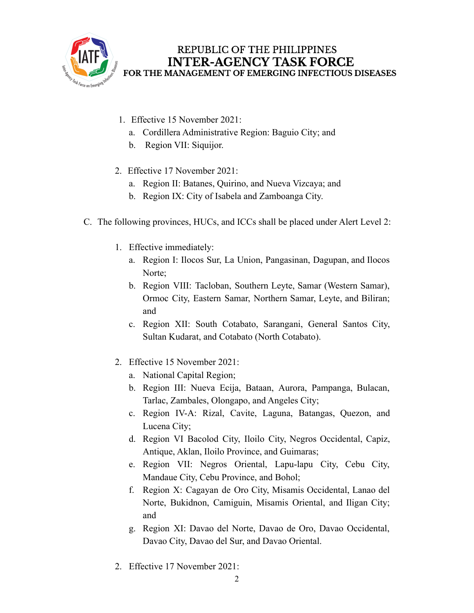

# REPUBLIC OF THE PHILIPPINES **INTER-AGENCY TASK FORCE** FOR THE MANAGEMENT OF EMERGING INFECTIOUS DISEASES

- 1. Effective 15 November 2021:
	- a. Cordillera Administrative Region: Baguio City; and
	- b. Region VII: Siquijor.
- 2. Effective 17 November 2021:
	- a. Region II: Batanes, Quirino, and Nueva Vizcaya; and
	- b. Region IX: City of Isabela and Zamboanga City.
- C. The following provinces, HUCs, and ICCs shall be placed under Alert Level 2:
	- 1. Effective immediately:
		- a. Region I: Ilocos Sur, La Union, Pangasinan, Dagupan, and Ilocos Norte:
		- b. Region VIII: Tacloban, Southern Leyte, Samar (Western Samar), Ormoc City, Eastern Samar, Northern Samar, Leyte, and Biliran; and
		- c. Region XII: South Cotabato, Sarangani, General Santos City, Sultan Kudarat, and Cotabato (North Cotabato).
	- 2. Effective 15 November 2021:
		- a. National Capital Region;
		- b. Region III: Nueva Ecija, Bataan, Aurora, Pampanga, Bulacan, Tarlac, Zambales, Olongapo, and Angeles City;
		- c. Region IV-A: Rizal, Cavite, Laguna, Batangas, Quezon, and Lucena City;
		- d. Region VI Bacolod City, Iloilo City, Negros Occidental, Capiz, Antique, Aklan, Iloilo Province, and Guimaras;
		- e. Region VII: Negros Oriental, Lapu-lapu City, Cebu City, Mandaue City, Cebu Province, and Bohol;
		- f. Region X: Cagayan de Oro City, Misamis Occidental, Lanao del Norte, Bukidnon, Camiguin, Misamis Oriental, and Iligan City; and
		- g. Region XI: Davao del Norte, Davao de Oro, Davao Occidental, Davao City, Davao del Sur, and Davao Oriental.
	- 2. Effective 17 November 2021: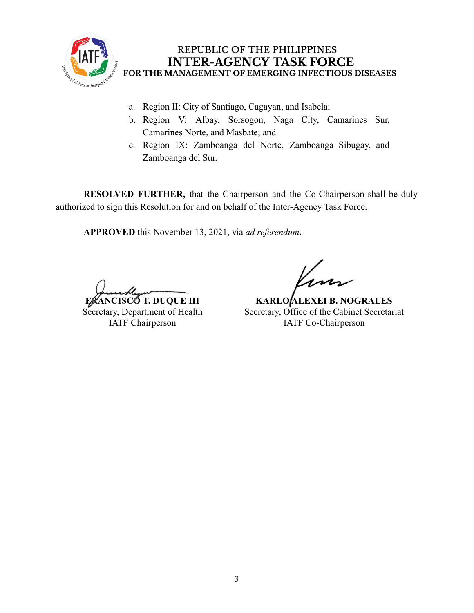

## REPUBLIC OF THE PHILIPPINES **INTER-AGENCY TASK FORCE** FOR THE MANAGEMENT OF EMERGING INFECTIOUS DISEASES

- a. Region II: City of Santiago, Cagayan, and Isabela;
- b. Region V: Albay, Sorsogon, Naga City, Camarines Sur, Camarines Norte, and Masbate; and
- c. Region IX: Zamboanga del Norte, Zamboanga Sibugay, and Zamboanga del Sur.

**RESOLVED FURTHER,** that the Chairperson and the Co-Chairperson shall be duly authorized to sign this Resolution for and on behalf of the Inter-Agency Task Force.

**APPROVED** this November 13, 2021, via *ad referendum***.**

**ANCISCO T. DUQUE III** Secretary, Department of Health IATF Chairperson

**KARLO ALEXEI B. NOGRALES** Secretary, Office of the Cabinet Secretariat IATF Co-Chairperson